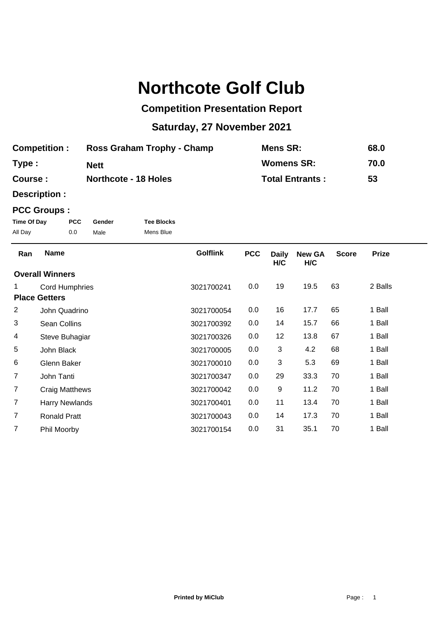# **Northcote Golf Club**

## **Competition Presentation Report**

## **Saturday, 27 November 2021**

| <b>Competition:</b> | Ross Graham Trophy - Champ  | Mens SR:               | 68.0 |
|---------------------|-----------------------------|------------------------|------|
| Type:               | <b>Nett</b>                 | <b>Womens SR:</b>      | 70.0 |
| Course :            | <b>Northcote - 18 Holes</b> | <b>Total Entrants:</b> | 53   |

**Description :**

### **PCC Groups :**

| Time Of Day | <b>PCC</b> | Gender | <b>Tee Blocks</b> |
|-------------|------------|--------|-------------------|
| All Day     | 0.0        | Male   | Mens Blue         |

| Ran            | <b>Name</b>            | <b>Golflink</b> | <b>PCC</b> | <b>Daily</b><br>H/C | <b>New GA</b><br>H/C | <b>Score</b> | <b>Prize</b> |  |
|----------------|------------------------|-----------------|------------|---------------------|----------------------|--------------|--------------|--|
|                | <b>Overall Winners</b> |                 |            |                     |                      |              |              |  |
| 1.             | <b>Cord Humphries</b>  | 3021700241      | 0.0        | 19                  | 19.5                 | 63           | 2 Balls      |  |
|                | <b>Place Getters</b>   |                 |            |                     |                      |              |              |  |
| $\overline{2}$ | John Quadrino          | 3021700054      | 0.0        | 16                  | 17.7                 | 65           | 1 Ball       |  |
| 3              | Sean Collins           | 3021700392      | 0.0        | 14                  | 15.7                 | 66           | 1 Ball       |  |
| 4              | Steve Buhagiar         | 3021700326      | 0.0        | 12                  | 13.8                 | 67           | 1 Ball       |  |
| 5              | John Black             | 3021700005      | 0.0        | 3                   | 4.2                  | 68           | 1 Ball       |  |
| 6              | Glenn Baker            | 3021700010      | 0.0        | 3                   | 5.3                  | 69           | 1 Ball       |  |
| $\overline{7}$ | John Tanti             | 3021700347      | 0.0        | 29                  | 33.3                 | 70           | 1 Ball       |  |
| $\overline{7}$ | Craig Matthews         | 3021700042      | 0.0        | 9                   | 11.2                 | 70           | 1 Ball       |  |
| $\overline{7}$ | <b>Harry Newlands</b>  | 3021700401      | 0.0        | 11                  | 13.4                 | 70           | 1 Ball       |  |
| 7              | <b>Ronald Pratt</b>    | 3021700043      | 0.0        | 14                  | 17.3                 | 70           | 1 Ball       |  |
| 7              | Phil Moorby            | 3021700154      | 0.0        | 31                  | 35.1                 | 70           | 1 Ball       |  |